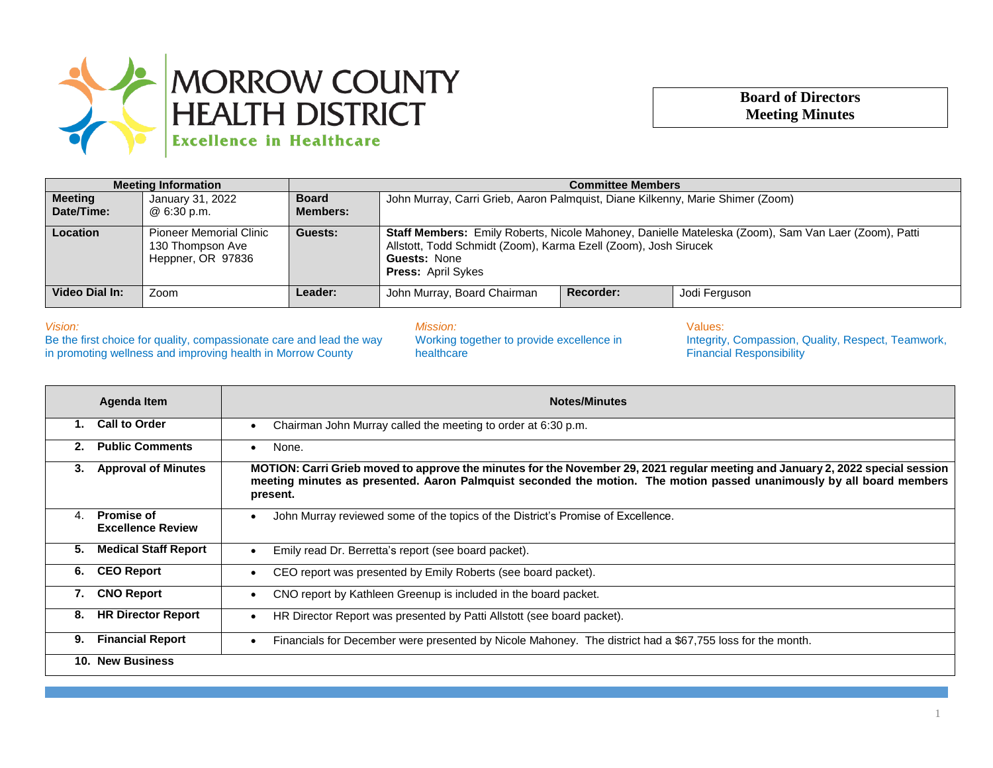

## **Board of Directors Meeting Minutes**

| <b>Meeting Information</b>   |                                                                  | <b>Committee Members</b>        |                                                                                                                                                                                                                            |           |               |
|------------------------------|------------------------------------------------------------------|---------------------------------|----------------------------------------------------------------------------------------------------------------------------------------------------------------------------------------------------------------------------|-----------|---------------|
| <b>Meeting</b><br>Date/Time: | January 31, 2022<br>@ 6:30 p.m.                                  | <b>Board</b><br><b>Members:</b> | John Murray, Carri Grieb, Aaron Palmquist, Diane Kilkenny, Marie Shimer (Zoom)                                                                                                                                             |           |               |
| <b>Location</b>              | Pioneer Memorial Clinic<br>130 Thompson Ave<br>Heppner, OR 97836 | Guests:                         | Staff Members: Emily Roberts, Nicole Mahoney, Danielle Mateleska (Zoom), Sam Van Laer (Zoom), Patti<br>Allstott, Todd Schmidt (Zoom), Karma Ezell (Zoom), Josh Sirucek<br><b>Guests: None</b><br><b>Press: April Sykes</b> |           |               |
| Video Dial In:               | Zoom                                                             | <b>Leader:</b>                  | John Murray, Board Chairman                                                                                                                                                                                                | Recorder: | Jodi Ferguson |

*Vision:*

Be the first choice for quality, compassionate care and lead the way in promoting wellness and improving health in Morrow County

*Mission:*

Working together to provide excellence in healthcare

Values: Integrity, Compassion, Quality, Respect, Teamwork, Financial Responsibility

|    | Agenda Item                                   | <b>Notes/Minutes</b>                                                                                                                                                                                                                                                |
|----|-----------------------------------------------|---------------------------------------------------------------------------------------------------------------------------------------------------------------------------------------------------------------------------------------------------------------------|
| 1. | <b>Call to Order</b>                          | Chairman John Murray called the meeting to order at 6:30 p.m.                                                                                                                                                                                                       |
| 2. | <b>Public Comments</b>                        | None.                                                                                                                                                                                                                                                               |
| 3. | <b>Approval of Minutes</b>                    | MOTION: Carri Grieb moved to approve the minutes for the November 29, 2021 regular meeting and January 2, 2022 special session<br>meeting minutes as presented. Aaron Palmquist seconded the motion. The motion passed unanimously by all board members<br>present. |
| 4. | <b>Promise of</b><br><b>Excellence Review</b> | John Murray reviewed some of the topics of the District's Promise of Excellence.                                                                                                                                                                                    |
| 5. | <b>Medical Staff Report</b>                   | Emily read Dr. Berretta's report (see board packet).                                                                                                                                                                                                                |
| 6. | <b>CEO Report</b>                             | CEO report was presented by Emily Roberts (see board packet).                                                                                                                                                                                                       |
| 7. | <b>CNO Report</b>                             | CNO report by Kathleen Greenup is included in the board packet.                                                                                                                                                                                                     |
| 8. | <b>HR Director Report</b>                     | HR Director Report was presented by Patti Allstott (see board packet).                                                                                                                                                                                              |
| 9. | <b>Financial Report</b>                       | Financials for December were presented by Nicole Mahoney. The district had a \$67,755 loss for the month.                                                                                                                                                           |
|    | 10. New Business                              |                                                                                                                                                                                                                                                                     |